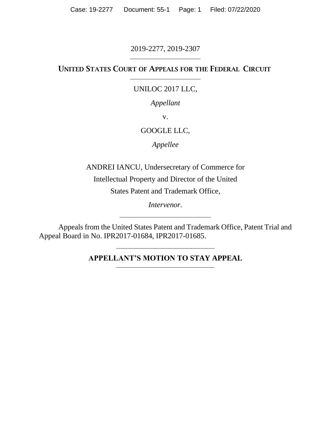Case: 19-2277 Document: 55-1 Page: 1 Filed: 07/22/2020

# 2019-2277, 2019-2307

# UNITED STATES COURT OF APPEALS FOR THE FEDERAL CIRCUIT

## UNILOC 2017 LLC,

## *Appellant*

v.

# GOOGLE LLC,

*Appellee*

ANDREI IANCU, Undersecretary of Commerce for Intellectual Property and Director of the United States Patent and Trademark Office,

*Intervenor.*

Appeals from the United States Patent and Trademark Office, Patent Trial and Appeal Board in No. IPR2017-01684, IPR2017-01685.

# **APPELLANT'S MOTION TO STAY APPEAL**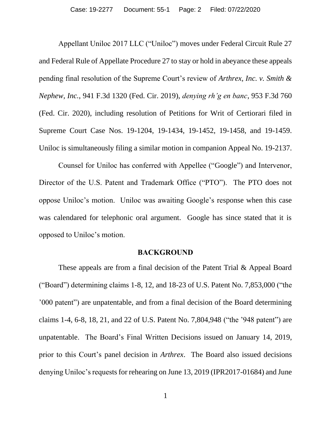Appellant Uniloc 2017 LLC ("Uniloc") moves under Federal Circuit Rule 27 and Federal Rule of Appellate Procedure 27 to stay or hold in abeyance these appeals pending final resolution of the Supreme Court's review of *Arthrex, Inc. v. Smith & Nephew, Inc.*, 941 F.3d 1320 (Fed. Cir. 2019), *denying rh'g en banc*, 953 F.3d 760 (Fed. Cir. 2020), including resolution of Petitions for Writ of Certiorari filed in Supreme Court Case Nos. 19-1204, 19-1434, 19-1452, 19-1458, and 19-1459. Uniloc is simultaneously filing a similar motion in companion Appeal No. 19-2137.

Counsel for Uniloc has conferred with Appellee ("Google") and Intervenor, Director of the U.S. Patent and Trademark Office ("PTO"). The PTO does not oppose Uniloc's motion. Uniloc was awaiting Google's response when this case was calendared for telephonic oral argument. Google has since stated that it is opposed to Uniloc's motion.

#### **BACKGROUND**

These appeals are from a final decision of the Patent Trial & Appeal Board ("Board") determining claims 1-8, 12, and 18-23 of U.S. Patent No. 7,853,000 ("the '000 patent") are unpatentable, and from a final decision of the Board determining claims 1-4, 6-8, 18, 21, and 22 of U.S. Patent No. 7,804,948 ("the '948 patent") are unpatentable. The Board's Final Written Decisions issued on January 14, 2019, prior to this Court's panel decision in *Arthrex*. The Board also issued decisions denying Uniloc's requests for rehearing on June 13, 2019 (IPR2017-01684) and June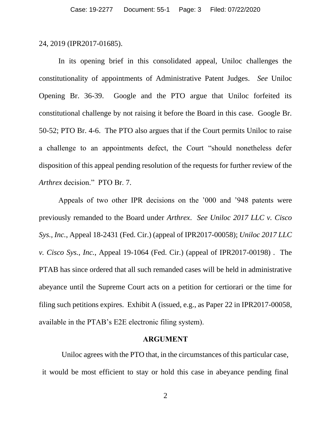#### 24, 2019 (IPR2017-01685).

In its opening brief in this consolidated appeal, Uniloc challenges the constitutionality of appointments of Administrative Patent Judges. *See* Uniloc Opening Br. 36-39. Google and the PTO argue that Uniloc forfeited its constitutional challenge by not raising it before the Board in this case. Google Br. 50-52; PTO Br. 4-6. The PTO also argues that if the Court permits Uniloc to raise a challenge to an appointments defect, the Court "should nonetheless defer disposition of this appeal pending resolution of the requests for further review of the *Arthrex* decision." PTO Br. 7.

Appeals of two other IPR decisions on the '000 and '948 patents were previously remanded to the Board under *Arthrex*. *See Uniloc 2017 LLC v. Cisco Sys., Inc.*, Appeal 18-2431 (Fed. Cir.) (appeal of IPR2017-00058); *Uniloc 2017 LLC v. Cisco Sys., Inc.*, Appeal 19-1064 (Fed. Cir.) (appeal of IPR2017-00198) . The PTAB has since ordered that all such remanded cases will be held in administrative abeyance until the Supreme Court acts on a petition for certiorari or the time for filing such petitions expires. Exhibit A (issued, e.g., as Paper 22 in IPR2017-00058, available in the PTAB's E2E electronic filing system).

#### **ARGUMENT**

Uniloc agrees with the PTO that, in the circumstances of this particular case, it would be most efficient to stay or hold this case in abeyance pending final

2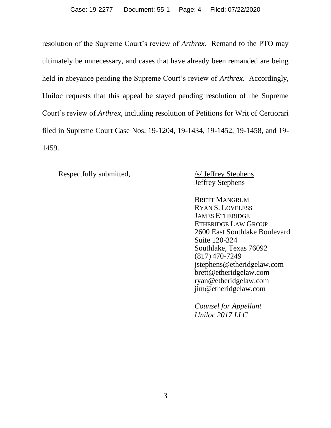resolution of the Supreme Court's review of *Arthrex*. Remand to the PTO may ultimately be unnecessary, and cases that have already been remanded are being held in abeyance pending the Supreme Court's review of *Arthrex*. Accordingly, Uniloc requests that this appeal be stayed pending resolution of the Supreme Court's review of *Arthrex*, including resolution of Petitions for Writ of Certiorari filed in Supreme Court Case Nos. 19-1204, 19-1434, 19-1452, 19-1458, and 19- 1459.

Respectfully submitted,  $\frac{1}{s}$  /s/ Jeffrey Stephens

Jeffrey Stephens

BRETT MANGRUM RYAN S. LOVELESS JAMES ETHERIDGE ETHERIDGE LAW GROUP 2600 East Southlake Boulevard Suite 120-324 Southlake, Texas 76092 (817) 470-7249 jstephens@etheridgelaw.com brett@etheridgelaw.com ryan@etheridgelaw.com jim@etheridgelaw.com

*Counsel for Appellant Uniloc 2017 LLC*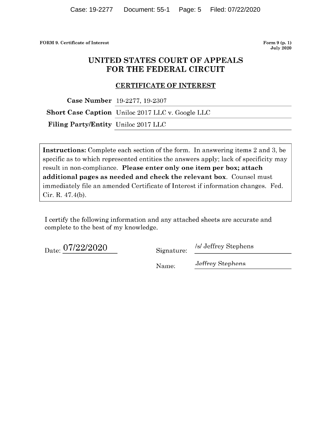FORM 9. Certificate of Interest

Form  $9(p. 1)$ **July 2020** 

# UNITED STATES COURT OF APPEALS FOR THE FEDERAL CIRCUIT

#### **CERTIFICATE OF INTEREST**

Case Number 19-2277, 19-2307

**Short Case Caption** Uniloc 2017 LLC v. Google LLC

Filing Party/Entity Uniloc 2017 LLC

**Instructions:** Complete each section of the form. In answering items 2 and 3, be specific as to which represented entities the answers apply; lack of specificity may result in non-compliance. Please enter only one item per box; attach additional pages as needed and check the relevant box. Counsel must immediately file an amended Certificate of Interest if information changes. Fed. Cir. R. 47.4(b).

I certify the following information and any attached sheets are accurate and complete to the best of my knowledge.

Date: 07/22/2020

Signature:

/s/ Jeffrey Stephens

Name:

Jeffrey Stephens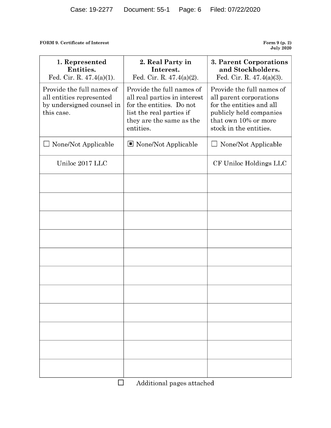FORM 9. Certificate of Interest

Form 9 (p. 2)<br>July 2020

| 1. Represented<br>Entities.<br>Fed. Cir. R. $47.4(a)(1)$ .                                       | 2. Real Party in<br>Interest.<br>Fed. Cir. R. $47.4(a)(2)$ .                                                                                               | 3. Parent Corporations<br>and Stockholders.<br>Fed. Cir. R. $47.4(a)(3)$ .                                                                                    |  |
|--------------------------------------------------------------------------------------------------|------------------------------------------------------------------------------------------------------------------------------------------------------------|---------------------------------------------------------------------------------------------------------------------------------------------------------------|--|
| Provide the full names of<br>all entities represented<br>by undersigned counsel in<br>this case. | Provide the full names of<br>all real parties in interest<br>for the entities. Do not<br>list the real parties if<br>they are the same as the<br>entities. | Provide the full names of<br>all parent corporations<br>for the entities and all<br>publicly held companies<br>that own 10% or more<br>stock in the entities. |  |
| None/Not Applicable                                                                              | $\blacksquare$ None/Not Applicable                                                                                                                         | None/Not Applicable                                                                                                                                           |  |
| Uniloc 2017 LLC                                                                                  |                                                                                                                                                            | CF Uniloc Holdings LLC                                                                                                                                        |  |
|                                                                                                  |                                                                                                                                                            |                                                                                                                                                               |  |
|                                                                                                  |                                                                                                                                                            |                                                                                                                                                               |  |
|                                                                                                  |                                                                                                                                                            |                                                                                                                                                               |  |
|                                                                                                  |                                                                                                                                                            |                                                                                                                                                               |  |
|                                                                                                  |                                                                                                                                                            |                                                                                                                                                               |  |
|                                                                                                  |                                                                                                                                                            |                                                                                                                                                               |  |
|                                                                                                  |                                                                                                                                                            |                                                                                                                                                               |  |
|                                                                                                  |                                                                                                                                                            |                                                                                                                                                               |  |
|                                                                                                  |                                                                                                                                                            |                                                                                                                                                               |  |
|                                                                                                  |                                                                                                                                                            |                                                                                                                                                               |  |
|                                                                                                  |                                                                                                                                                            |                                                                                                                                                               |  |
| П<br>Additional pages attached                                                                   |                                                                                                                                                            |                                                                                                                                                               |  |

Additional pages attached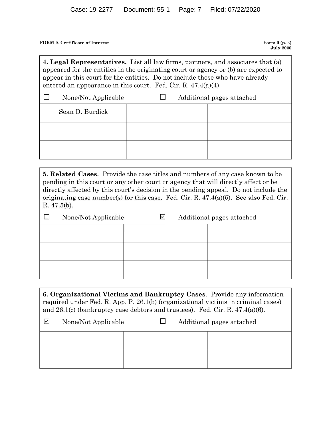FORM 9. Certificate of Interest

Form 9 (p. 3) **July 2020** 

4. Legal Representatives. List all law firms, partners, and associates that (a) appeared for the entities in the originating court or agency or (b) are expected to appear in this court for the entities. Do not include those who have already entered an appearance in this court. Fed. Cir. R.  $47.4(a)(4)$ .

| None/Not Applicable | Additional pages attached |  |  |
|---------------------|---------------------------|--|--|
| Sean D. Burdick     |                           |  |  |
|                     |                           |  |  |
|                     |                           |  |  |

**5. Related Cases.** Provide the case titles and numbers of any case known to be pending in this court or any other court or agency that will directly affect or be directly affected by this court's decision in the pending appeal. Do not include the originating case number(s) for this case. Fed. Cir. R.  $47.4(a)(5)$ . See also Fed. Cir. R. 47.5(b).

| None/Not Applicable | $\mathbf v$ | Additional pages attached |  |
|---------------------|-------------|---------------------------|--|
|                     |             |                           |  |
|                     |             |                           |  |
|                     |             |                           |  |
|                     |             |                           |  |
|                     |             |                           |  |
|                     |             |                           |  |

6. Organizational Victims and Bankruptcy Cases. Provide any information required under Fed. R. App. P. 26.1(b) (organizational victims in criminal cases) and  $26.1(c)$  (bankruptcy case debtors and trustees). Fed. Cir. R.  $47.4(a)(6)$ .

| $\mathsf{L}$ | None/Not Applicable | Additional pages attached |  |
|--------------|---------------------|---------------------------|--|
|              |                     |                           |  |
|              |                     |                           |  |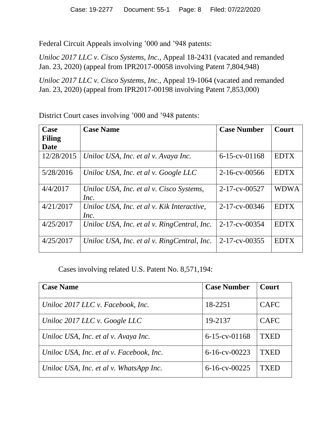Federal Circuit Appeals involving '000 and '948 patents:

*Uniloc 2017 LLC v. Cisco Systems, Inc.*, Appeal 18-2431 (vacated and remanded Jan. 23, 2020) (appeal from IPR2017-00058 involving Patent 7,804,948)

*Uniloc 2017 LLC v. Cisco Systems, Inc.*, Appeal 19-1064 (vacated and remanded Jan. 23, 2020) (appeal from IPR2017-00198 involving Patent 7,853,000)

**Case Filing Date Case Name Case Number Court** 12/28/2015 *Uniloc USA, Inc. et al v. Avaya Inc.* 6-15-cv-01168 EDTX 5/28/2016 *Uniloc USA, Inc. et al v. Google LLC* 2-16-cv-00566 EDTX 4/4/2017 *Uniloc USA, Inc. et al v. Cisco Systems, Inc.* 2-17-cv-00527 WDWA 4/21/2017 *Uniloc USA, Inc. et al v. Kik Interactive, Inc.* 2-17-cv-00346 EDTX  $4/25/2017$  *Uniloc USA, Inc. et al v. RingCentral, Inc.* 2-17-cv-00354 **EDTX** 4/25/2017 *Uniloc USA, Inc. et al v. RingCentral, Inc.* 2-17-cv-00355 **EDTX** 

District Court cases involving '000 and '948 patents:

Cases involving related U.S. Patent No. 8,571,194:

| <b>Case Name</b>                         | <b>Case Number</b> | Court       |
|------------------------------------------|--------------------|-------------|
| Uniloc 2017 LLC v. Facebook, Inc.        | 18-2251            | <b>CAFC</b> |
| Uniloc 2017 LLC v. Google LLC            | 19-2137            | <b>CAFC</b> |
| Uniloc USA, Inc. et al v. Avaya Inc.     | $6-15$ -cv-01168   | <b>TXED</b> |
| Uniloc USA, Inc. et al v. Facebook, Inc. | $6 - 16$ -cv-00223 | <b>TXED</b> |
| Uniloc USA, Inc. et al v. WhatsApp Inc.  | $6 - 16$ -cv-00225 | TXED        |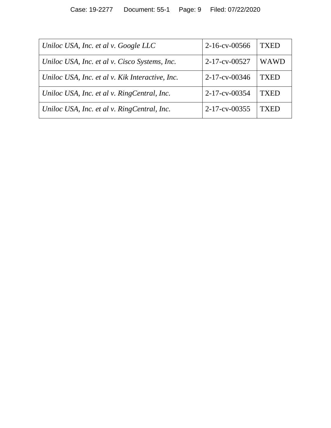| Uniloc USA, Inc. et al v. Google LLC            | $2-16$ -cv-00566      | TXED        |
|-------------------------------------------------|-----------------------|-------------|
| Uniloc USA, Inc. et al v. Cisco Systems, Inc.   | $2 - 17 - cv - 00527$ | <b>WAWD</b> |
| Uniloc USA, Inc. et al v. Kik Interactive, Inc. | $2 - 17 - cv - 00346$ | TXED        |
| Uniloc USA, Inc. et al v. RingCentral, Inc.     | 2-17-cv-00354         | <b>TXED</b> |
| Uniloc USA, Inc. et al v. RingCentral, Inc.     | $2 - 17 - cv - 00355$ | TXED        |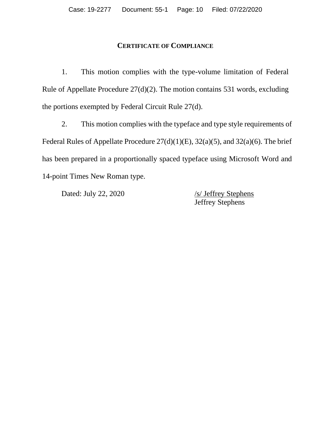# **CERTIFICATE OF COMPLIANCE**

1. This motion complies with the type-volume limitation of Federal Rule of Appellate Procedure 27(d)(2). The motion contains 531 words, excluding the portions exempted by Federal Circuit Rule 27(d).

2. This motion complies with the typeface and type style requirements of Federal Rules of Appellate Procedure 27(d)(1)(E), 32(a)(5), and 32(a)(6). The brief has been prepared in a proportionally spaced typeface using Microsoft Word and 14-point Times New Roman type.

Dated: July 22, 2020 /s/ Jeffrey Stephens

Jeffrey Stephens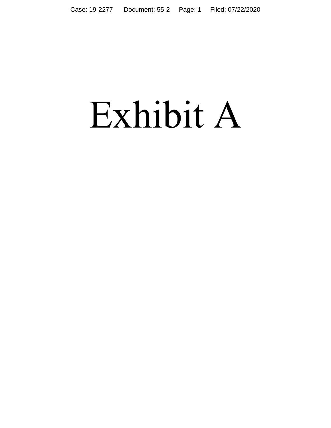# Exhibit A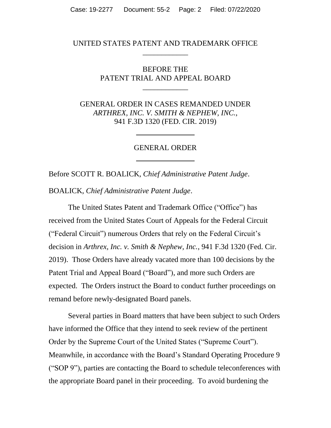## UNITED STATES PATENT AND TRADEMARK OFFICE \_\_\_\_\_\_\_\_\_\_\_\_

BEFORE THE PATENT TRIAL AND APPEAL BOARD

\_\_\_\_\_\_\_\_\_\_\_\_

GENERAL ORDER IN CASES REMANDED UNDER *ARTHREX, INC. V. SMITH & NEPHEW, INC.*, 941 F.3D 1320 (FED. CIR. 2019)

#### GENERAL ORDER

Before SCOTT R. BOALICK, *Chief Administrative Patent Judge*.

BOALICK, *Chief Administrative Patent Judge*.

The United States Patent and Trademark Office ("Office") has received from the United States Court of Appeals for the Federal Circuit ("Federal Circuit") numerous Orders that rely on the Federal Circuit's decision in *Arthrex, Inc. v. Smith & Nephew, Inc.*, 941 F.3d 1320 (Fed. Cir. 2019). Those Orders have already vacated more than 100 decisions by the Patent Trial and Appeal Board ("Board"), and more such Orders are expected. The Orders instruct the Board to conduct further proceedings on remand before newly-designated Board panels.

Several parties in Board matters that have been subject to such Orders have informed the Office that they intend to seek review of the pertinent Order by the Supreme Court of the United States ("Supreme Court"). Meanwhile, in accordance with the Board's Standard Operating Procedure 9 ("SOP 9"), parties are contacting the Board to schedule teleconferences with the appropriate Board panel in their proceeding. To avoid burdening the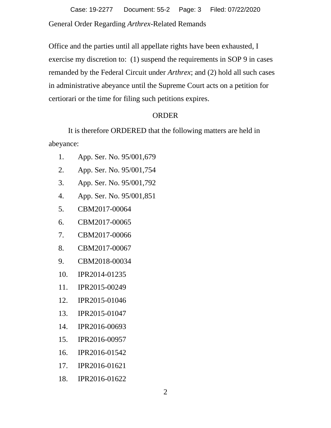General Order Regarding *Arthrex*-Related Remands Case: 19-2277 Document: 55-2 Page: 3 Filed: 07/22/2020

Office and the parties until all appellate rights have been exhausted, I exercise my discretion to: (1) suspend the requirements in SOP 9 in cases remanded by the Federal Circuit under *Arthrex*; and (2) hold all such cases in administrative abeyance until the Supreme Court acts on a petition for certiorari or the time for filing such petitions expires.

## ORDER

It is therefore ORDERED that the following matters are held in abeyance:

- 1. App. Ser. No. 95/001,679
- 2. App. Ser. No. 95/001,754
- 3. App. Ser. No. 95/001,792
- 4. App. Ser. No. 95/001,851
- 5. CBM2017-00064
- 6. CBM2017-00065
- 7. CBM2017-00066
- 8. CBM2017-00067
- 9. CBM2018-00034
- 10. IPR2014-01235
- 11. IPR2015-00249
- 12. IPR2015-01046
- 13. IPR2015-01047
- 14. IPR2016-00693
- 15. IPR2016-00957
- 16. IPR2016-01542
- 17. IPR2016-01621
- 18. IPR2016-01622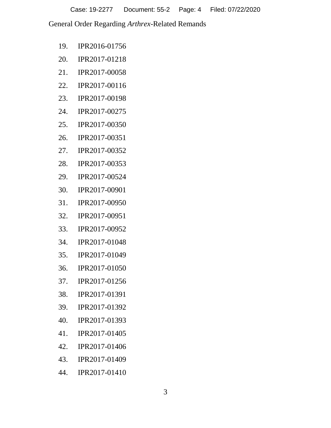Case: 19-2277 Document: 55-2 Page: 4 Filed: 07/22/2020

General Order Regarding *Arthrex*-Related Remands

- 19. IPR2016-01756
- 20. IPR2017-01218
- 21. IPR2017-00058
- 22. IPR2017-00116
- 23. IPR2017-00198
- 24. IPR2017-00275
- 25. IPR2017-00350
- 26. IPR2017-00351
- 27. IPR2017-00352
- 28. IPR2017-00353
- 29. IPR2017-00524
- 30. IPR2017-00901
- 31. IPR2017-00950
- 32. IPR2017-00951
- 33. IPR2017-00952
- 34. IPR2017-01048
- 35. IPR2017-01049
- 36. IPR2017-01050
- 37. IPR2017-01256
- 38. IPR2017-01391
- 39. IPR2017-01392
- 40. IPR2017-01393
- 41. IPR2017-01405
- 42. IPR2017-01406
- 43. IPR2017-01409
- 44. IPR2017-01410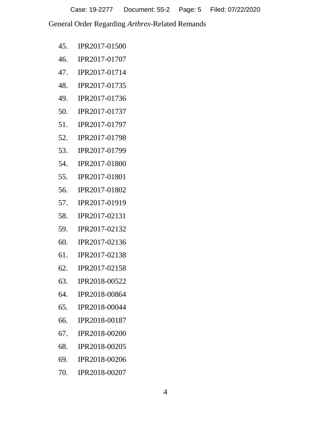Case: 19-2277 Document: 55-2 Page: 5 Filed: 07/22/2020

General Order Regarding *Arthrex*-Related Remands

- 45. IPR2017-01500
- 46. IPR2017-01707
- 47. IPR2017-01714
- 48. IPR2017-01735
- 49. IPR2017-01736
- 50. IPR2017-01737
- 51. IPR2017-01797
- 52. IPR2017-01798
- 53. IPR2017-01799
- 54. IPR2017-01800
- 55. IPR2017-01801
- 56. IPR2017-01802
- 57. IPR2017-01919
- 58. IPR2017-02131
- 59. IPR2017-02132
- 60. IPR2017-02136
- 61. IPR2017-02138
- 62. IPR2017-02158
- 63. IPR2018-00522
- 64. IPR2018-00864
- 65. IPR2018-00044
- 66. IPR2018-00187
- 67. IPR2018-00200
- 68. IPR2018-00205
- 69. IPR2018-00206
- 70. IPR2018-00207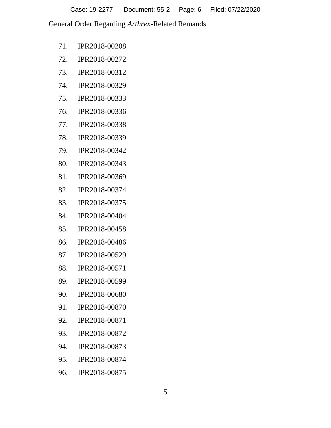Case: 19-2277 Document: 55-2 Page: 6 Filed: 07/22/2020

General Order Regarding *Arthrex*-Related Remands

- 71. IPR2018-00208
- 72. IPR2018-00272
- 73. IPR2018-00312
- 74. IPR2018-00329
- 75. IPR2018-00333
- 76. IPR2018-00336
- 77. IPR2018-00338
- 78. IPR2018-00339
- 79. IPR2018-00342
- 80. IPR2018-00343
- 81. IPR2018-00369
- 82. IPR2018-00374
- 83. IPR2018-00375
- 84. IPR2018-00404
- 85. IPR2018-00458
- 86. IPR2018-00486
- 87. IPR2018-00529
- 88. IPR2018-00571
- 89. IPR2018-00599
- 90. IPR2018-00680
- 91. IPR2018-00870
- 92. IPR2018-00871
- 93. IPR2018-00872
- 94. IPR2018-00873
- 95. IPR2018-00874
- 96. IPR2018-00875